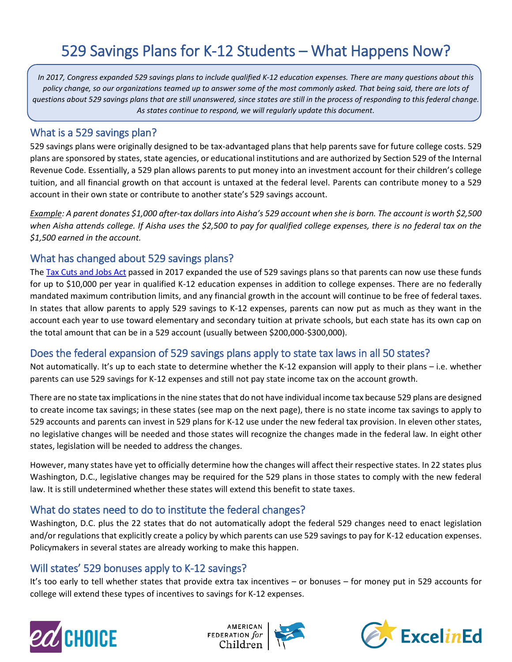# 529 Savings Plans for K-12 Students – What Happens Now?

*In 2017, Congress expanded 529 savings plans to include qualified K-12 education expenses. There are many questions about this policy change, so our organizations teamed up to answer some of the most commonly asked. That being said, there are lots of questions about 529 savings plans that are still unanswered, since states are still in the process of responding to this federal change. As states continue to respond, we will regularly update this document.*

#### What is a 529 savings plan?

529 savings plans were originally designed to be tax-advantaged plans that help parents save for future college costs. 529 plans are sponsored by states, state agencies, or educational institutions and are authorized by Section 529 of the Internal Revenue Code. Essentially, a 529 plan allows parents to put money into an investment account for their children's college tuition, and all financial growth on that account is untaxed at the federal level. Parents can contribute money to a 529 account in their own state or contribute to another state's 529 savings account.

*Example: A parent donates \$1,000 after-tax dollars into Aisha's 529 account when she is born. The account is worth \$2,500 when Aisha attends college. If Aisha uses the \$2,500 to pay for qualified college expenses, there is no federal tax on the \$1,500 earned in the account.*

### What has changed about 529 savings plans?

The [Tax Cuts and Jobs Act](https://www.congress.gov/115/bills/hr1/BILLS-115hr1enr.pdf) passed in 2017 expanded the use of 529 savings plans so that parents can now use these funds for up to \$10,000 per year in qualified K-12 education expenses in addition to college expenses. There are no federally mandated maximum contribution limits, and any financial growth in the account will continue to be free of federal taxes. In states that allow parents to apply 529 savings to K-12 expenses, parents can now put as much as they want in the account each year to use toward elementary and secondary tuition at private schools, but each state has its own cap on the total amount that can be in a 529 account (usually between \$200,000-\$300,000).

#### Does the federal expansion of 529 savings plans apply to state tax laws in all 50 states?

Not automatically. It's up to each state to determine whether the K-12 expansion will apply to their plans – i.e. whether parents can use 529 savings for K-12 expenses and still not pay state income tax on the account growth.

There are no state tax implications in the nine states that do not have individual income tax because 529 plans are designed to create income tax savings; in these states (see map on the next page), there is no state income tax savings to apply to 529 accounts and parents can invest in 529 plans for K-12 use under the new federal tax provision. In eleven other states, no legislative changes will be needed and those states will recognize the changes made in the federal law. In eight other states, legislation will be needed to address the changes.

However, many states have yet to officially determine how the changes will affect their respective states. In 22 states plus Washington, D.C., legislative changes may be required for the 529 plans in those states to comply with the new federal law. It is still undetermined whether these states will extend this benefit to state taxes.

### What do states need to do to institute the federal changes?

Washington, D.C. plus the 22 states that do not automatically adopt the federal 529 changes need to enact legislation and/or regulations that explicitly create a policy by which parents can use 529 savings to pay for K-12 education expenses. Policymakers in several states are already working to make this happen.

### Will states' 529 bonuses apply to K-12 savings?

It's too early to tell whether states that provide extra tax incentives – or bonuses – for money put in 529 accounts for college will extend these types of incentives to savings for K-12 expenses.